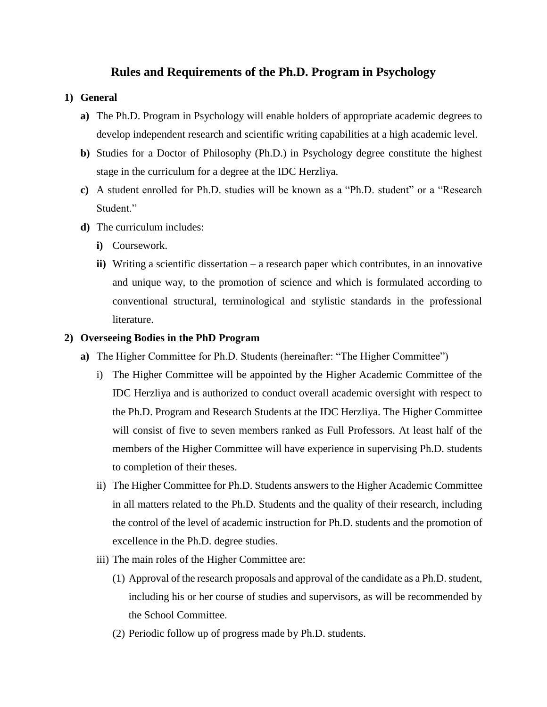# **Rules and Requirements of the Ph.D. Program in Psychology**

### **1) General**

- **a)** The Ph.D. Program in Psychology will enable holders of appropriate academic degrees to develop independent research and scientific writing capabilities at a high academic level.
- **b)** Studies for a Doctor of Philosophy (Ph.D.) in Psychology degree constitute the highest stage in the curriculum for a degree at the IDC Herzliya.
- **c)** A student enrolled for Ph.D. studies will be known as a "Ph.D. student" or a "Research Student."
- **d)** The curriculum includes:
	- **i)** Coursework.
	- **ii)** Writing a scientific dissertation a research paper which contributes, in an innovative and unique way, to the promotion of science and which is formulated according to conventional structural, terminological and stylistic standards in the professional literature.

#### **2) Overseeing Bodies in the PhD Program**

- **a)** The Higher Committee for Ph.D. Students (hereinafter: "The Higher Committee")
	- i) The Higher Committee will be appointed by the Higher Academic Committee of the IDC Herzliya and is authorized to conduct overall academic oversight with respect to the Ph.D. Program and Research Students at the IDC Herzliya. The Higher Committee will consist of five to seven members ranked as Full Professors. At least half of the members of the Higher Committee will have experience in supervising Ph.D. students to completion of their theses.
	- ii) The Higher Committee for Ph.D. Students answers to the Higher Academic Committee in all matters related to the Ph.D. Students and the quality of their research, including the control of the level of academic instruction for Ph.D. students and the promotion of excellence in the Ph.D. degree studies.
	- iii) The main roles of the Higher Committee are:
		- (1) Approval of the research proposals and approval of the candidate as a Ph.D. student, including his or her course of studies and supervisors, as will be recommended by the School Committee.
		- (2) Periodic follow up of progress made by Ph.D. students.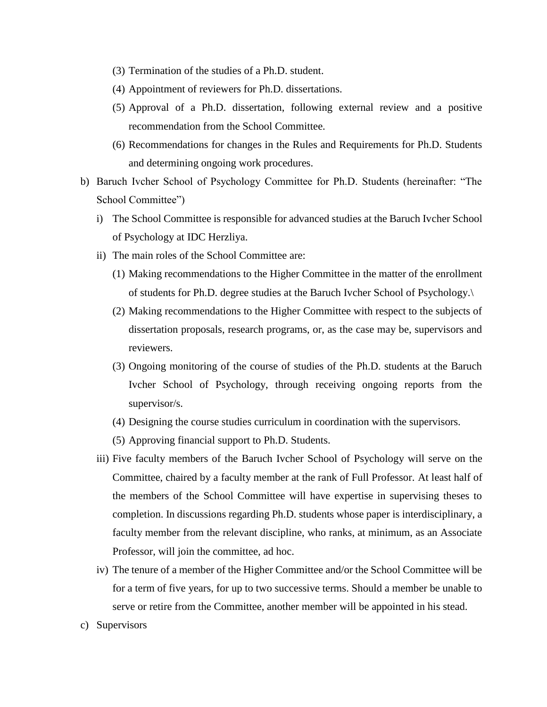- (3) Termination of the studies of a Ph.D. student.
- (4) Appointment of reviewers for Ph.D. dissertations.
- (5) Approval of a Ph.D. dissertation, following external review and a positive recommendation from the School Committee.
- (6) Recommendations for changes in the Rules and Requirements for Ph.D. Students and determining ongoing work procedures.
- b) Baruch Ivcher School of Psychology Committee for Ph.D. Students (hereinafter: "The School Committee")
	- i) The School Committee is responsible for advanced studies at the Baruch Ivcher School of Psychology at IDC Herzliya.
	- ii) The main roles of the School Committee are:
		- (1) Making recommendations to the Higher Committee in the matter of the enrollment of students for Ph.D. degree studies at the Baruch Ivcher School of Psychology.\
		- (2) Making recommendations to the Higher Committee with respect to the subjects of dissertation proposals, research programs, or, as the case may be, supervisors and reviewers.
		- (3) Ongoing monitoring of the course of studies of the Ph.D. students at the Baruch Ivcher School of Psychology, through receiving ongoing reports from the supervisor/s.
		- (4) Designing the course studies curriculum in coordination with the supervisors.
		- (5) Approving financial support to Ph.D. Students.
	- iii) Five faculty members of the Baruch Ivcher School of Psychology will serve on the Committee, chaired by a faculty member at the rank of Full Professor. At least half of the members of the School Committee will have expertise in supervising theses to completion. In discussions regarding Ph.D. students whose paper is interdisciplinary, a faculty member from the relevant discipline, who ranks, at minimum, as an Associate Professor, will join the committee, ad hoc.
	- iv) The tenure of a member of the Higher Committee and/or the School Committee will be for a term of five years, for up to two successive terms. Should a member be unable to serve or retire from the Committee, another member will be appointed in his stead.
- c) Supervisors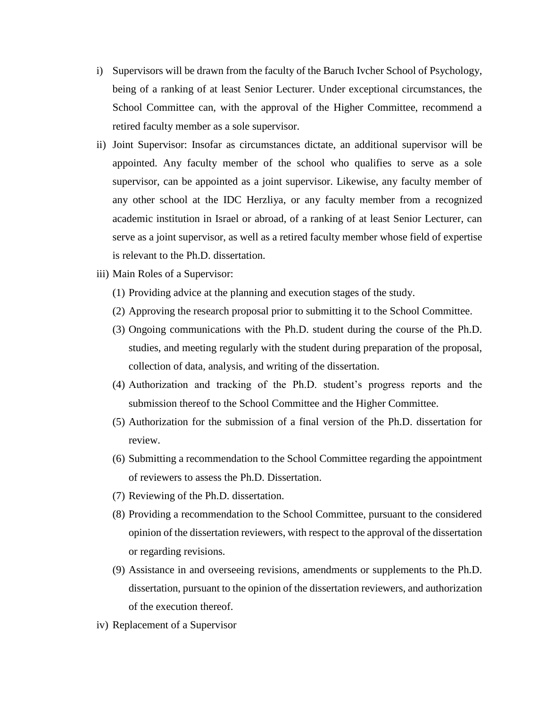- i) Supervisors will be drawn from the faculty of the Baruch Ivcher School of Psychology, being of a ranking of at least Senior Lecturer. Under exceptional circumstances, the School Committee can, with the approval of the Higher Committee, recommend a retired faculty member as a sole supervisor.
- ii) Joint Supervisor: Insofar as circumstances dictate, an additional supervisor will be appointed. Any faculty member of the school who qualifies to serve as a sole supervisor, can be appointed as a joint supervisor. Likewise, any faculty member of any other school at the IDC Herzliya, or any faculty member from a recognized academic institution in Israel or abroad, of a ranking of at least Senior Lecturer, can serve as a joint supervisor, as well as a retired faculty member whose field of expertise is relevant to the Ph.D. dissertation.
- iii) Main Roles of a Supervisor:
	- (1) Providing advice at the planning and execution stages of the study.
	- (2) Approving the research proposal prior to submitting it to the School Committee.
	- (3) Ongoing communications with the Ph.D. student during the course of the Ph.D. studies, and meeting regularly with the student during preparation of the proposal, collection of data, analysis, and writing of the dissertation.
	- (4) Authorization and tracking of the Ph.D. student's progress reports and the submission thereof to the School Committee and the Higher Committee.
	- (5) Authorization for the submission of a final version of the Ph.D. dissertation for review.
	- (6) Submitting a recommendation to the School Committee regarding the appointment of reviewers to assess the Ph.D. Dissertation.
	- (7) Reviewing of the Ph.D. dissertation.
	- (8) Providing a recommendation to the School Committee, pursuant to the considered opinion of the dissertation reviewers, with respect to the approval of the dissertation or regarding revisions.
	- (9) Assistance in and overseeing revisions, amendments or supplements to the Ph.D. dissertation, pursuant to the opinion of the dissertation reviewers, and authorization of the execution thereof.
- iv) Replacement of a Supervisor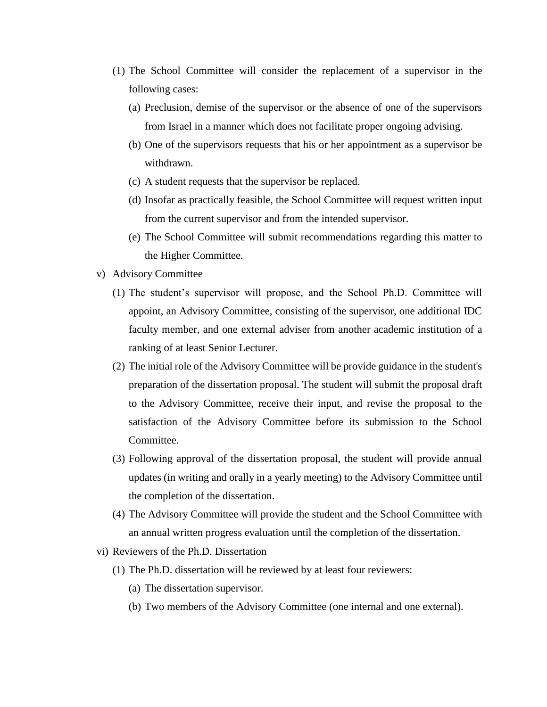- (1) The School Committee will consider the replacement of a supervisor in the following cases:
	- (a) Preclusion, demise of the supervisor or the absence of one of the supervisors from Israel in a manner which does not facilitate proper ongoing advising.
	- (b) One of the supervisors requests that his or her appointment as a supervisor be withdrawn.
	- (c) A student requests that the supervisor be replaced.
	- (d) Insofar as practically feasible, the School Committee will request written input from the current supervisor and from the intended supervisor.
	- (e) The School Committee will submit recommendations regarding this matter to the Higher Committee.
- v) Advisory Committee
	- (1) The student's supervisor will propose, and the School Ph.D. Committee will appoint, an Advisory Committee, consisting of the supervisor, one additional IDC faculty member, and one external adviser from another academic institution of a ranking of at least Senior Lecturer.
	- (2) The initial role of the Advisory Committee will be provide guidance in the student's preparation of the dissertation proposal. The student will submit the proposal draft to the Advisory Committee, receive their input, and revise the proposal to the satisfaction of the Advisory Committee before its submission to the School Committee.
	- (3) Following approval of the dissertation proposal, the student will provide annual updates (in writing and orally in a yearly meeting) to the Advisory Committee until the completion of the dissertation.
	- (4) The Advisory Committee will provide the student and the School Committee with an annual written progress evaluation until the completion of the dissertation.
- vi) Reviewers of the Ph.D. Dissertation
	- (1) The Ph.D. dissertation will be reviewed by at least four reviewers:
		- (a) The dissertation supervisor.
		- (b) Two members of the Advisory Committee (one internal and one external).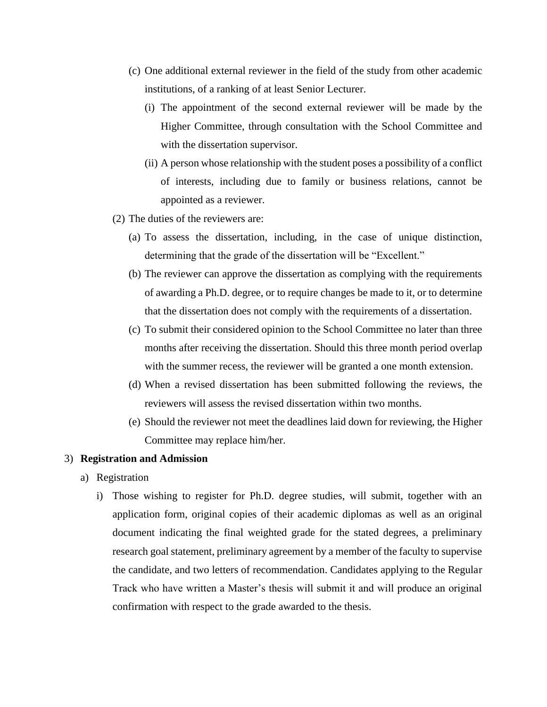- (c) One additional external reviewer in the field of the study from other academic institutions, of a ranking of at least Senior Lecturer.
	- (i) The appointment of the second external reviewer will be made by the Higher Committee, through consultation with the School Committee and with the dissertation supervisor.
	- (ii) A person whose relationship with the student poses a possibility of a conflict of interests, including due to family or business relations, cannot be appointed as a reviewer.
- (2) The duties of the reviewers are:
	- (a) To assess the dissertation, including, in the case of unique distinction, determining that the grade of the dissertation will be "Excellent."
	- (b) The reviewer can approve the dissertation as complying with the requirements of awarding a Ph.D. degree, or to require changes be made to it, or to determine that the dissertation does not comply with the requirements of a dissertation.
	- (c) To submit their considered opinion to the School Committee no later than three months after receiving the dissertation. Should this three month period overlap with the summer recess, the reviewer will be granted a one month extension.
	- (d) When a revised dissertation has been submitted following the reviews, the reviewers will assess the revised dissertation within two months.
	- (e) Should the reviewer not meet the deadlines laid down for reviewing, the Higher Committee may replace him/her.

### 3) **Registration and Admission**

- a) Registration
	- i) Those wishing to register for Ph.D. degree studies, will submit, together with an application form, original copies of their academic diplomas as well as an original document indicating the final weighted grade for the stated degrees, a preliminary research goal statement, preliminary agreement by a member of the faculty to supervise the candidate, and two letters of recommendation. Candidates applying to the Regular Track who have written a Master's thesis will submit it and will produce an original confirmation with respect to the grade awarded to the thesis.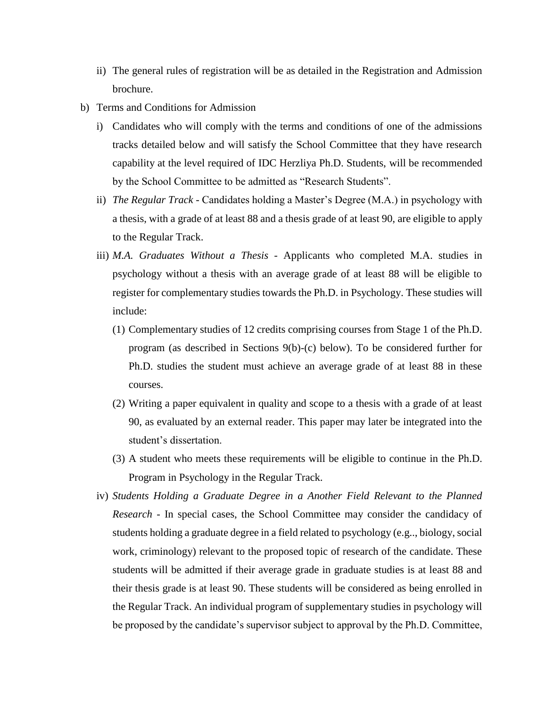- ii) The general rules of registration will be as detailed in the Registration and Admission brochure.
- b) Terms and Conditions for Admission
	- i) Candidates who will comply with the terms and conditions of one of the admissions tracks detailed below and will satisfy the School Committee that they have research capability at the level required of IDC Herzliya Ph.D. Students, will be recommended by the School Committee to be admitted as "Research Students".
	- ii) *The Regular Track -* Candidates holding a Master's Degree (M.A.) in psychology with a thesis, with a grade of at least 88 and a thesis grade of at least 90, are eligible to apply to the Regular Track.
	- iii) *M.A. Graduates Without a Thesis -* Applicants who completed M.A. studies in psychology without a thesis with an average grade of at least 88 will be eligible to register for complementary studies towards the Ph.D. in Psychology. These studies will include:
		- (1) Complementary studies of 12 credits comprising courses from Stage 1 of the Ph.D. program (as described in Sections 9(b)-(c) below). To be considered further for Ph.D. studies the student must achieve an average grade of at least 88 in these courses.
		- (2) Writing a paper equivalent in quality and scope to a thesis with a grade of at least 90, as evaluated by an external reader. This paper may later be integrated into the student's dissertation.
		- (3) A student who meets these requirements will be eligible to continue in the Ph.D. Program in Psychology in the Regular Track.
	- iv) *Students Holding a Graduate Degree in a Another Field Relevant to the Planned Research -* In special cases, the School Committee may consider the candidacy of students holding a graduate degree in a field related to psychology (e.g.., biology, social work, criminology) relevant to the proposed topic of research of the candidate. These students will be admitted if their average grade in graduate studies is at least 88 and their thesis grade is at least 90. These students will be considered as being enrolled in the Regular Track. An individual program of supplementary studies in psychology will be proposed by the candidate's supervisor subject to approval by the Ph.D. Committee,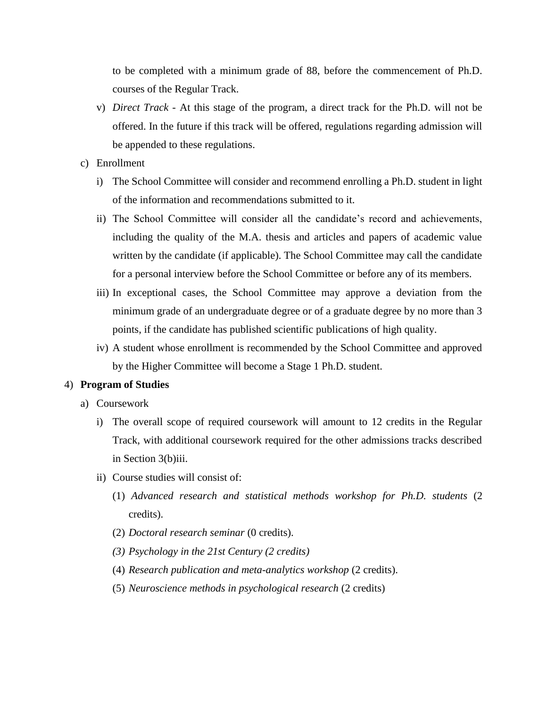to be completed with a minimum grade of 88, before the commencement of Ph.D. courses of the Regular Track.

- v) *Direct Track -* At this stage of the program, a direct track for the Ph.D. will not be offered. In the future if this track will be offered, regulations regarding admission will be appended to these regulations.
- c) Enrollment
	- i) The School Committee will consider and recommend enrolling a Ph.D. student in light of the information and recommendations submitted to it.
	- ii) The School Committee will consider all the candidate's record and achievements, including the quality of the M.A. thesis and articles and papers of academic value written by the candidate (if applicable). The School Committee may call the candidate for a personal interview before the School Committee or before any of its members.
	- iii) In exceptional cases, the School Committee may approve a deviation from the minimum grade of an undergraduate degree or of a graduate degree by no more than 3 points, if the candidate has published scientific publications of high quality.
	- iv) A student whose enrollment is recommended by the School Committee and approved by the Higher Committee will become a Stage 1 Ph.D. student.

### 4) **Program of Studies**

- a) Coursework
	- i) The overall scope of required coursework will amount to 12 credits in the Regular Track, with additional coursework required for the other admissions tracks described in Section 3(b)iii.
	- ii) Course studies will consist of:
		- (1) *Advanced research and statistical methods workshop for Ph.D. students* (2 credits).
		- (2) *Doctoral research seminar* (0 credits).
		- *(3) Psychology in the 21st Century (2 credits)*
		- (4) *Research publication and meta-analytics workshop* (2 credits).
		- (5) *Neuroscience methods in psychological research* (2 credits)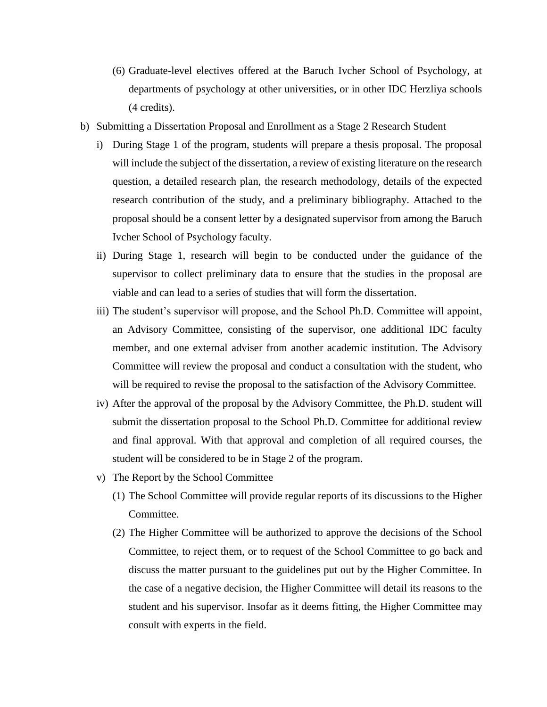- (6) Graduate-level electives offered at the Baruch Ivcher School of Psychology, at departments of psychology at other universities, or in other IDC Herzliya schools (4 credits).
- b) Submitting a Dissertation Proposal and Enrollment as a Stage 2 Research Student
	- i) During Stage 1 of the program, students will prepare a thesis proposal. The proposal will include the subject of the dissertation, a review of existing literature on the research question, a detailed research plan, the research methodology, details of the expected research contribution of the study, and a preliminary bibliography. Attached to the proposal should be a consent letter by a designated supervisor from among the Baruch Ivcher School of Psychology faculty.
	- ii) During Stage 1, research will begin to be conducted under the guidance of the supervisor to collect preliminary data to ensure that the studies in the proposal are viable and can lead to a series of studies that will form the dissertation.
	- iii) The student's supervisor will propose, and the School Ph.D. Committee will appoint, an Advisory Committee, consisting of the supervisor, one additional IDC faculty member, and one external adviser from another academic institution. The Advisory Committee will review the proposal and conduct a consultation with the student, who will be required to revise the proposal to the satisfaction of the Advisory Committee.
	- iv) After the approval of the proposal by the Advisory Committee, the Ph.D. student will submit the dissertation proposal to the School Ph.D. Committee for additional review and final approval. With that approval and completion of all required courses, the student will be considered to be in Stage 2 of the program.
	- v) The Report by the School Committee
		- (1) The School Committee will provide regular reports of its discussions to the Higher Committee.
		- (2) The Higher Committee will be authorized to approve the decisions of the School Committee, to reject them, or to request of the School Committee to go back and discuss the matter pursuant to the guidelines put out by the Higher Committee. In the case of a negative decision, the Higher Committee will detail its reasons to the student and his supervisor. Insofar as it deems fitting, the Higher Committee may consult with experts in the field.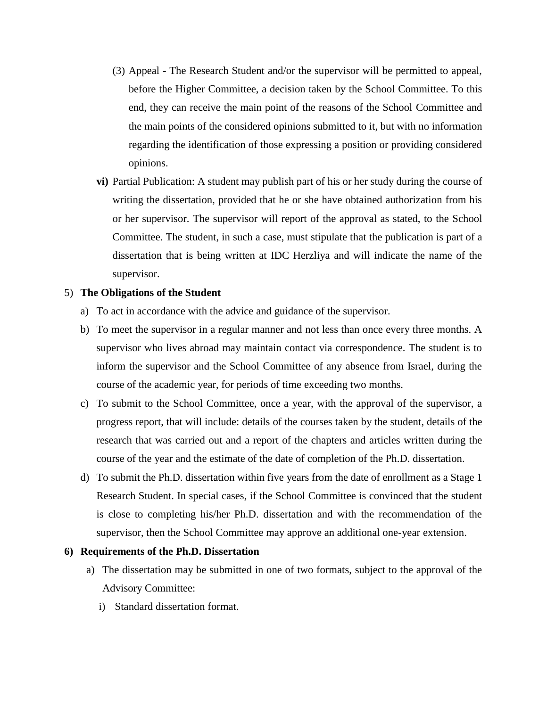- (3) Appeal The Research Student and/or the supervisor will be permitted to appeal, before the Higher Committee, a decision taken by the School Committee. To this end, they can receive the main point of the reasons of the School Committee and the main points of the considered opinions submitted to it, but with no information regarding the identification of those expressing a position or providing considered opinions.
- **vi)** Partial Publication: A student may publish part of his or her study during the course of writing the dissertation, provided that he or she have obtained authorization from his or her supervisor. The supervisor will report of the approval as stated, to the School Committee. The student, in such a case, must stipulate that the publication is part of a dissertation that is being written at IDC Herzliya and will indicate the name of the supervisor.

### 5) **The Obligations of the Student**

- a) To act in accordance with the advice and guidance of the supervisor.
- b) To meet the supervisor in a regular manner and not less than once every three months. A supervisor who lives abroad may maintain contact via correspondence. The student is to inform the supervisor and the School Committee of any absence from Israel, during the course of the academic year, for periods of time exceeding two months.
- c) To submit to the School Committee, once a year, with the approval of the supervisor, a progress report, that will include: details of the courses taken by the student, details of the research that was carried out and a report of the chapters and articles written during the course of the year and the estimate of the date of completion of the Ph.D. dissertation.
- d) To submit the Ph.D. dissertation within five years from the date of enrollment as a Stage 1 Research Student. In special cases, if the School Committee is convinced that the student is close to completing his/her Ph.D. dissertation and with the recommendation of the supervisor, then the School Committee may approve an additional one-year extension.

## **6) Requirements of the Ph.D. Dissertation**

- a) The dissertation may be submitted in one of two formats, subject to the approval of the Advisory Committee:
	- i) Standard dissertation format.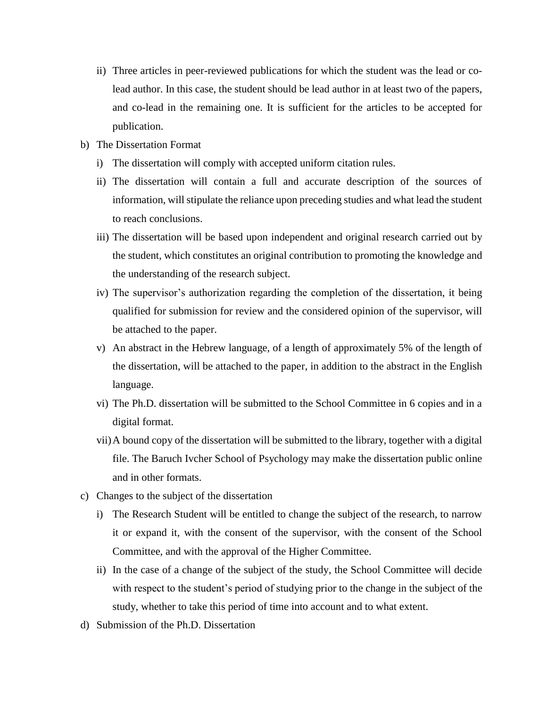- ii) Three articles in peer-reviewed publications for which the student was the lead or colead author. In this case, the student should be lead author in at least two of the papers, and co-lead in the remaining one. It is sufficient for the articles to be accepted for publication.
- b) The Dissertation Format
	- i) The dissertation will comply with accepted uniform citation rules.
	- ii) The dissertation will contain a full and accurate description of the sources of information, will stipulate the reliance upon preceding studies and what lead the student to reach conclusions.
	- iii) The dissertation will be based upon independent and original research carried out by the student, which constitutes an original contribution to promoting the knowledge and the understanding of the research subject.
	- iv) The supervisor's authorization regarding the completion of the dissertation, it being qualified for submission for review and the considered opinion of the supervisor, will be attached to the paper.
	- v) An abstract in the Hebrew language, of a length of approximately 5% of the length of the dissertation, will be attached to the paper, in addition to the abstract in the English language.
	- vi) The Ph.D. dissertation will be submitted to the School Committee in 6 copies and in a digital format.
	- vii)A bound copy of the dissertation will be submitted to the library, together with a digital file. The Baruch Ivcher School of Psychology may make the dissertation public online and in other formats.
- c) Changes to the subject of the dissertation
	- i) The Research Student will be entitled to change the subject of the research, to narrow it or expand it, with the consent of the supervisor, with the consent of the School Committee, and with the approval of the Higher Committee.
	- ii) In the case of a change of the subject of the study, the School Committee will decide with respect to the student's period of studying prior to the change in the subject of the study, whether to take this period of time into account and to what extent.
- d) Submission of the Ph.D. Dissertation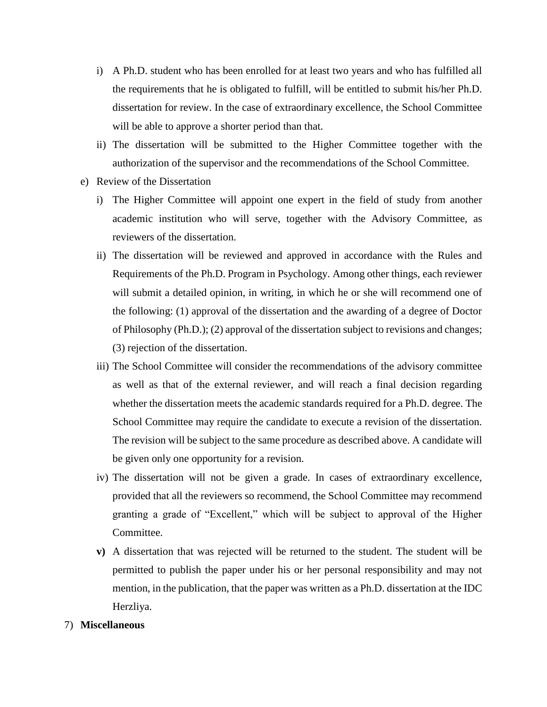- i) A Ph.D. student who has been enrolled for at least two years and who has fulfilled all the requirements that he is obligated to fulfill, will be entitled to submit his/her Ph.D. dissertation for review. In the case of extraordinary excellence, the School Committee will be able to approve a shorter period than that.
- ii) The dissertation will be submitted to the Higher Committee together with the authorization of the supervisor and the recommendations of the School Committee.
- e) Review of the Dissertation
	- i) The Higher Committee will appoint one expert in the field of study from another academic institution who will serve, together with the Advisory Committee, as reviewers of the dissertation.
	- ii) The dissertation will be reviewed and approved in accordance with the Rules and Requirements of the Ph.D. Program in Psychology. Among other things, each reviewer will submit a detailed opinion, in writing, in which he or she will recommend one of the following: (1) approval of the dissertation and the awarding of a degree of Doctor of Philosophy (Ph.D.); (2) approval of the dissertation subject to revisions and changes; (3) rejection of the dissertation.
	- iii) The School Committee will consider the recommendations of the advisory committee as well as that of the external reviewer, and will reach a final decision regarding whether the dissertation meets the academic standards required for a Ph.D. degree. The School Committee may require the candidate to execute a revision of the dissertation. The revision will be subject to the same procedure as described above. A candidate will be given only one opportunity for a revision.
	- iv) The dissertation will not be given a grade. In cases of extraordinary excellence, provided that all the reviewers so recommend, the School Committee may recommend granting a grade of "Excellent," which will be subject to approval of the Higher Committee.
	- **v)** A dissertation that was rejected will be returned to the student. The student will be permitted to publish the paper under his or her personal responsibility and may not mention, in the publication, that the paper was written as a Ph.D. dissertation at the IDC Herzliya.

#### 7) **Miscellaneous**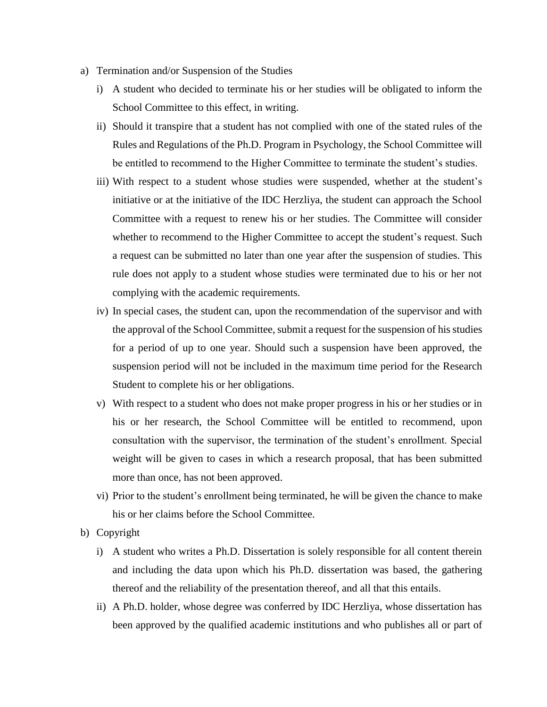- a) Termination and/or Suspension of the Studies
	- i) A student who decided to terminate his or her studies will be obligated to inform the School Committee to this effect, in writing.
	- ii) Should it transpire that a student has not complied with one of the stated rules of the Rules and Regulations of the Ph.D. Program in Psychology, the School Committee will be entitled to recommend to the Higher Committee to terminate the student's studies.
	- iii) With respect to a student whose studies were suspended, whether at the student's initiative or at the initiative of the IDC Herzliya, the student can approach the School Committee with a request to renew his or her studies. The Committee will consider whether to recommend to the Higher Committee to accept the student's request. Such a request can be submitted no later than one year after the suspension of studies. This rule does not apply to a student whose studies were terminated due to his or her not complying with the academic requirements.
	- iv) In special cases, the student can, upon the recommendation of the supervisor and with the approval of the School Committee, submit a request for the suspension of his studies for a period of up to one year. Should such a suspension have been approved, the suspension period will not be included in the maximum time period for the Research Student to complete his or her obligations.
	- v) With respect to a student who does not make proper progress in his or her studies or in his or her research, the School Committee will be entitled to recommend, upon consultation with the supervisor, the termination of the student's enrollment. Special weight will be given to cases in which a research proposal, that has been submitted more than once, has not been approved.
	- vi) Prior to the student's enrollment being terminated, he will be given the chance to make his or her claims before the School Committee.
- b) Copyright
	- i) A student who writes a Ph.D. Dissertation is solely responsible for all content therein and including the data upon which his Ph.D. dissertation was based, the gathering thereof and the reliability of the presentation thereof, and all that this entails.
	- ii) A Ph.D. holder, whose degree was conferred by IDC Herzliya, whose dissertation has been approved by the qualified academic institutions and who publishes all or part of